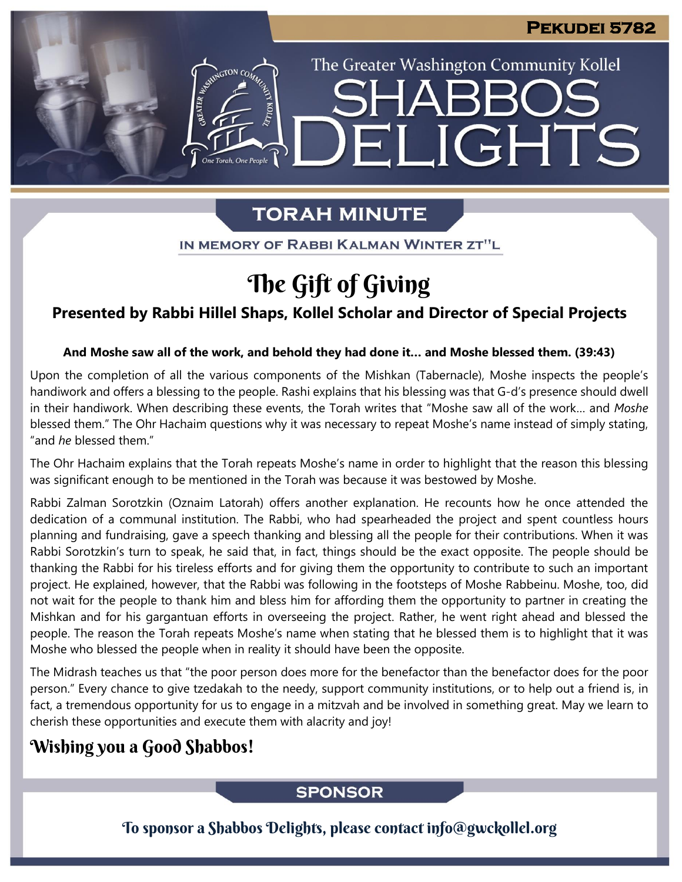The Greater Washington Community Kollel

LIGHTS

# **TORAH MINUTE**

FI

IN MEMORY OF RABBI KALMAN WINTER ZT"L

# The Gift of Giving

## **Presented by Rabbi Hillel Shaps, Kollel Scholar and Director of Special Projects**

#### **And Moshe saw all of the work, and behold they had done it… and Moshe blessed them. (39:43)**

Upon the completion of all the various components of the Mishkan (Tabernacle), Moshe inspects the people's handiwork and offers a blessing to the people. Rashi explains that his blessing was that G-d's presence should dwell in their handiwork. When describing these events, the Torah writes that "Moshe saw all of the work… and *Moshe* blessed them." The Ohr Hachaim questions why it was necessary to repeat Moshe's name instead of simply stating, "and *he* blessed them."

The Ohr Hachaim explains that the Torah repeats Moshe's name in order to highlight that the reason this blessing was significant enough to be mentioned in the Torah was because it was bestowed by Moshe.

Rabbi Zalman Sorotzkin (Oznaim Latorah) offers another explanation. He recounts how he once attended the dedication of a communal institution. The Rabbi, who had spearheaded the project and spent countless hours planning and fundraising, gave a speech thanking and blessing all the people for their contributions. When it was Rabbi Sorotzkin's turn to speak, he said that, in fact, things should be the exact opposite. The people should be thanking the Rabbi for his tireless efforts and for giving them the opportunity to contribute to such an important project. He explained, however, that the Rabbi was following in the footsteps of Moshe Rabbeinu. Moshe, too, did not wait for the people to thank him and bless him for affording them the opportunity to partner in creating the Mishkan and for his gargantuan efforts in overseeing the project. Rather, he went right ahead and blessed the people. The reason the Torah repeats Moshe's name when stating that he blessed them is to highlight that it was Moshe who blessed the people when in reality it should have been the opposite.

The Midrash teaches us that "the poor person does more for the benefactor than the benefactor does for the poor person." Every chance to give tzedakah to the needy, support community institutions, or to help out a friend is, in fact, a tremendous opportunity for us to engage in a mitzvah and be involved in something great. May we learn to cherish these opportunities and execute them with alacrity and joy!

## Wishing you a Good Shabbos!

## **SPONSOR**

To sponsor a Shabbos Delights, please contact info@gwckollel.org